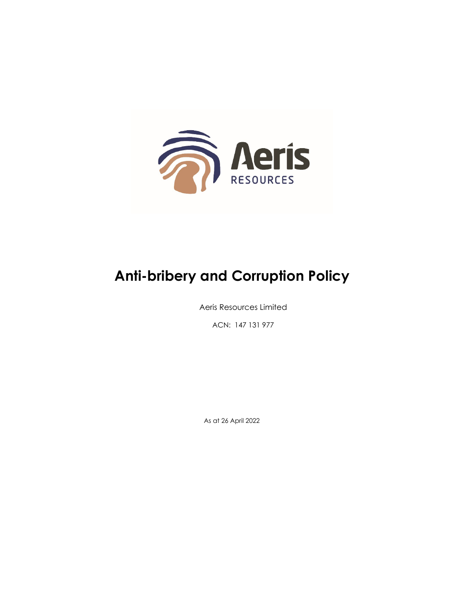

# **Anti-bribery and Corruption Policy**

Aeris Resources Limited

ACN: 147 131 977

As at 26 April 2022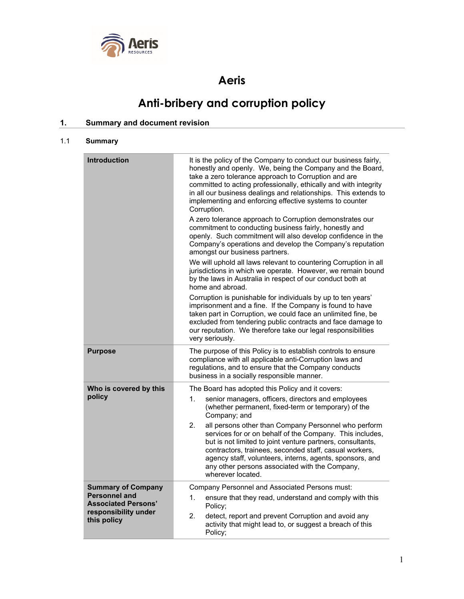

## **Aeris**

## **Anti-bribery and corruption policy**

### **1. Summary and document revision**

#### 1.1 **Summary**

| <b>Introduction</b>                                                                                                    | It is the policy of the Company to conduct our business fairly,<br>honestly and openly. We, being the Company and the Board,<br>take a zero tolerance approach to Corruption and are<br>committed to acting professionally, ethically and with integrity<br>in all our business dealings and relationships. This extends to<br>implementing and enforcing effective systems to counter<br>Corruption.                                                                                                                                                                    |  |  |
|------------------------------------------------------------------------------------------------------------------------|--------------------------------------------------------------------------------------------------------------------------------------------------------------------------------------------------------------------------------------------------------------------------------------------------------------------------------------------------------------------------------------------------------------------------------------------------------------------------------------------------------------------------------------------------------------------------|--|--|
|                                                                                                                        | A zero tolerance approach to Corruption demonstrates our<br>commitment to conducting business fairly, honestly and<br>openly. Such commitment will also develop confidence in the<br>Company's operations and develop the Company's reputation<br>amongst our business partners.                                                                                                                                                                                                                                                                                         |  |  |
|                                                                                                                        | We will uphold all laws relevant to countering Corruption in all<br>jurisdictions in which we operate. However, we remain bound<br>by the laws in Australia in respect of our conduct both at<br>home and abroad.                                                                                                                                                                                                                                                                                                                                                        |  |  |
|                                                                                                                        | Corruption is punishable for individuals by up to ten years'<br>imprisonment and a fine. If the Company is found to have<br>taken part in Corruption, we could face an unlimited fine, be<br>excluded from tendering public contracts and face damage to<br>our reputation. We therefore take our legal responsibilities<br>very seriously.                                                                                                                                                                                                                              |  |  |
| <b>Purpose</b>                                                                                                         | The purpose of this Policy is to establish controls to ensure<br>compliance with all applicable anti-Corruption laws and<br>regulations, and to ensure that the Company conducts<br>business in a socially responsible manner.                                                                                                                                                                                                                                                                                                                                           |  |  |
| Who is covered by this<br>policy                                                                                       | The Board has adopted this Policy and it covers:<br>1.<br>senior managers, officers, directors and employees<br>(whether permanent, fixed-term or temporary) of the<br>Company; and<br>2.<br>all persons other than Company Personnel who perform<br>services for or on behalf of the Company. This includes,<br>but is not limited to joint venture partners, consultants,<br>contractors, trainees, seconded staff, casual workers,<br>agency staff, volunteers, interns, agents, sponsors, and<br>any other persons associated with the Company,<br>wherever located. |  |  |
| <b>Summary of Company</b><br><b>Personnel and</b><br><b>Associated Persons'</b><br>responsibility under<br>this policy | Company Personnel and Associated Persons must:<br>1.<br>ensure that they read, understand and comply with this<br>Policy;<br>2.<br>detect, report and prevent Corruption and avoid any<br>activity that might lead to, or suggest a breach of this<br>Policy;                                                                                                                                                                                                                                                                                                            |  |  |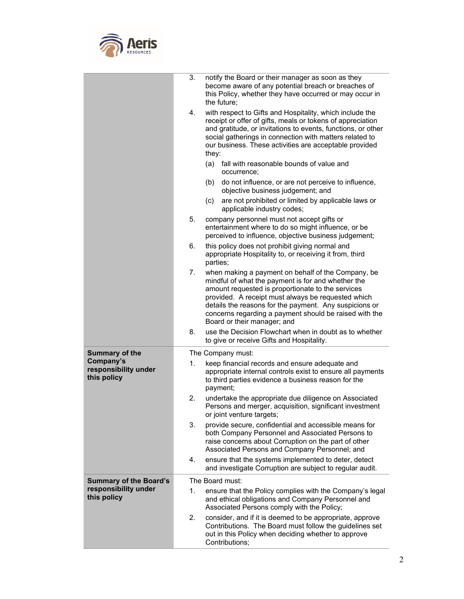

|                                                  | 3.                | notify the Board or their manager as soon as they<br>become aware of any potential breach or breaches of<br>this Policy, whether they have occurred or may occur in<br>the future;                                                                                                                                                                                     |
|--------------------------------------------------|-------------------|------------------------------------------------------------------------------------------------------------------------------------------------------------------------------------------------------------------------------------------------------------------------------------------------------------------------------------------------------------------------|
|                                                  | 4.                | with respect to Gifts and Hospitality, which include the<br>receipt or offer of gifts, meals or tokens of appreciation<br>and gratitude, or invitations to events, functions, or other<br>social gatherings in connection with matters related to<br>our business. These activities are acceptable provided<br>they:                                                   |
|                                                  |                   | fall with reasonable bounds of value and<br>(a)<br>occurrence;                                                                                                                                                                                                                                                                                                         |
|                                                  |                   | do not influence, or are not perceive to influence,<br>(b)<br>objective business judgement; and                                                                                                                                                                                                                                                                        |
|                                                  |                   | are not prohibited or limited by applicable laws or<br>(c)<br>applicable industry codes;                                                                                                                                                                                                                                                                               |
|                                                  | 5.                | company personnel must not accept gifts or<br>entertainment where to do so might influence, or be<br>perceived to influence, objective business judgement;                                                                                                                                                                                                             |
|                                                  | 6.                | this policy does not prohibit giving normal and<br>appropriate Hospitality to, or receiving it from, third<br>parties;                                                                                                                                                                                                                                                 |
|                                                  | 7.                | when making a payment on behalf of the Company, be<br>mindful of what the payment is for and whether the<br>amount requested is proportionate to the services<br>provided. A receipt must always be requested which<br>details the reasons for the payment. Any suspicions or<br>concerns regarding a payment should be raised with the<br>Board or their manager; and |
|                                                  | 8.                | use the Decision Flowchart when in doubt as to whether<br>to give or receive Gifts and Hospitality.                                                                                                                                                                                                                                                                    |
| <b>Summary of the</b>                            | The Company must: |                                                                                                                                                                                                                                                                                                                                                                        |
| Company's<br>responsibility under<br>this policy | 1.                | keep financial records and ensure adequate and<br>appropriate internal controls exist to ensure all payments<br>to third parties evidence a business reason for the<br>payment;                                                                                                                                                                                        |
|                                                  | 2.                | undertake the appropriate due diligence on Associated<br>Persons and merger, acquisition, significant investment<br>or joint venture targets;                                                                                                                                                                                                                          |
|                                                  | 3.                | provide secure, confidential and accessible means for<br>both Company Personnel and Associated Persons to<br>raise concerns about Corruption on the part of other<br>Associated Persons and Company Personnel; and                                                                                                                                                     |
|                                                  | 4.                | ensure that the systems implemented to deter, detect<br>and investigate Corruption are subject to regular audit.                                                                                                                                                                                                                                                       |
| <b>Summary of the Board's</b>                    |                   | The Board must:                                                                                                                                                                                                                                                                                                                                                        |
| responsibility under<br>this policy              | 1.                | ensure that the Policy complies with the Company's legal<br>and ethical obligations and Company Personnel and<br>Associated Persons comply with the Policy;                                                                                                                                                                                                            |
|                                                  | 2.                | consider, and if it is deemed to be appropriate, approve<br>Contributions. The Board must follow the guidelines set<br>out in this Policy when deciding whether to approve<br>Contributions;                                                                                                                                                                           |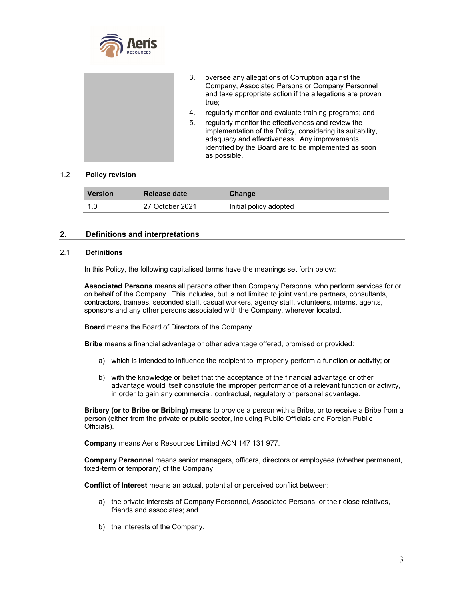

| 3. | oversee any allegations of Corruption against the<br>Company, Associated Persons or Company Personnel<br>and take appropriate action if the allegations are proven<br>true:                                                               |
|----|-------------------------------------------------------------------------------------------------------------------------------------------------------------------------------------------------------------------------------------------|
| 4. | regularly monitor and evaluate training programs; and                                                                                                                                                                                     |
| 5. | regularly monitor the effectiveness and review the<br>implementation of the Policy, considering its suitability,<br>adequacy and effectiveness. Any improvements<br>identified by the Board are to be implemented as soon<br>as possible. |

#### 1.2 **Policy revision**

| <b>Version</b> | <b>Release date</b> | Change                 |
|----------------|---------------------|------------------------|
|                | 27 October 2021     | Initial policy adopted |

#### **2. Definitions and interpretations**

#### 2.1 **Definitions**

In this Policy, the following capitalised terms have the meanings set forth below:

**Associated Persons** means all persons other than Company Personnel who perform services for or on behalf of the Company. This includes, but is not limited to joint venture partners, consultants, contractors, trainees, seconded staff, casual workers, agency staff, volunteers, interns, agents, sponsors and any other persons associated with the Company, wherever located.

**Board** means the Board of Directors of the Company.

**Bribe** means a financial advantage or other advantage offered, promised or provided:

- a) which is intended to influence the recipient to improperly perform a function or activity; or
- b) with the knowledge or belief that the acceptance of the financial advantage or other advantage would itself constitute the improper performance of a relevant function or activity, in order to gain any commercial, contractual, regulatory or personal advantage.

**Bribery (or to Bribe or Bribing)** means to provide a person with a Bribe, or to receive a Bribe from a person (either from the private or public sector, including Public Officials and Foreign Public Officials).

**Company** means Aeris Resources Limited ACN 147 131 977.

**Company Personnel** means senior managers, officers, directors or employees (whether permanent, fixed-term or temporary) of the Company.

**Conflict of Interest** means an actual, potential or perceived conflict between:

- a) the private interests of Company Personnel, Associated Persons, or their close relatives, friends and associates; and
- b) the interests of the Company.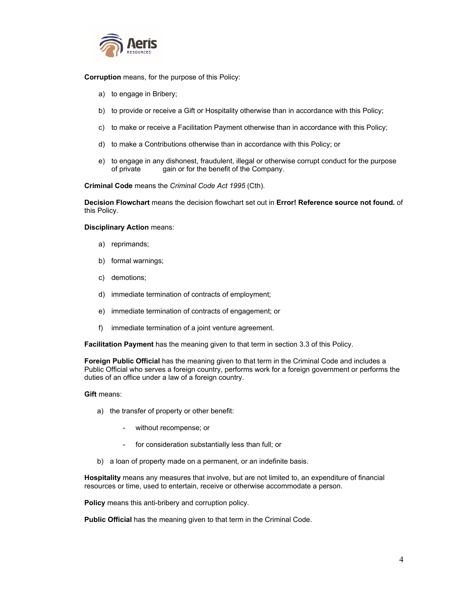

**Corruption** means, for the purpose of this Policy:

- a) to engage in Bribery;
- b) to provide or receive a Gift or Hospitality otherwise than in accordance with this Policy;
- c) to make or receive a Facilitation Payment otherwise than in accordance with this Policy;
- d) to make a Contributions otherwise than in accordance with this Policy; or
- e) to engage in any dishonest, fraudulent, illegal or otherwise corrupt conduct for the purpose of private gain or for the benefit of the Company.

**Criminal Code** means the *Criminal Code Act 1995* (Cth).

**Decision Flowchart** means the decision flowchart set out in **Error! Reference source not found.** of this Policy.

#### **Disciplinary Action** means:

- a) reprimands;
- b) formal warnings;
- c) demotions;
- d) immediate termination of contracts of employment;
- e) immediate termination of contracts of engagement; or
- f) immediate termination of a joint venture agreement.

**Facilitation Payment** has the meaning given to that term in section 3.3 of this Policy.

**Foreign Public Official** has the meaning given to that term in the Criminal Code and includes a Public Official who serves a foreign country, performs work for a foreign government or performs the duties of an office under a law of a foreign country.

#### **Gift** means:

- a) the transfer of property or other benefit:
	- without recompense; or
	- for consideration substantially less than full; or
- b) a loan of property made on a permanent, or an indefinite basis.

**Hospitality** means any measures that involve, but are not limited to, an expenditure of financial resources or time, used to entertain, receive or otherwise accommodate a person.

**Policy** means this anti-bribery and corruption policy.

**Public Official** has the meaning given to that term in the Criminal Code.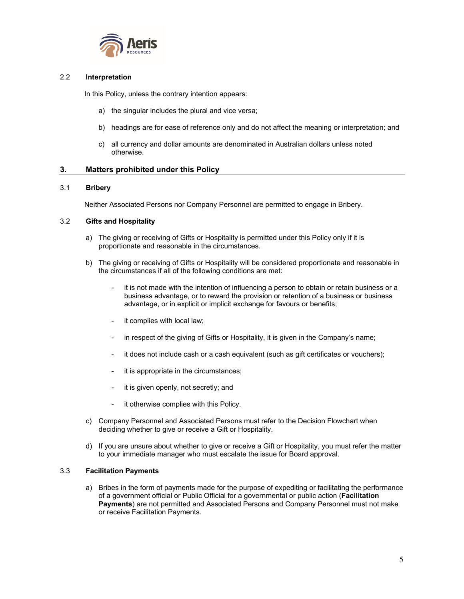

#### 2.2 **Interpretation**

In this Policy, unless the contrary intention appears:

- a) the singular includes the plural and vice versa;
- b) headings are for ease of reference only and do not affect the meaning or interpretation; and
- c) all currency and dollar amounts are denominated in Australian dollars unless noted otherwise.

#### **3. Matters prohibited under this Policy**

#### 3.1 **Bribery**

Neither Associated Persons nor Company Personnel are permitted to engage in Bribery.

#### 3.2 **Gifts and Hospitality**

- a) The giving or receiving of Gifts or Hospitality is permitted under this Policy only if it is proportionate and reasonable in the circumstances.
- b) The giving or receiving of Gifts or Hospitality will be considered proportionate and reasonable in the circumstances if all of the following conditions are met:
	- it is not made with the intention of influencing a person to obtain or retain business or a business advantage, or to reward the provision or retention of a business or business advantage, or in explicit or implicit exchange for favours or benefits;
	- it complies with local law;
	- in respect of the giving of Gifts or Hospitality, it is given in the Company's name;
	- it does not include cash or a cash equivalent (such as gift certificates or vouchers);
	- it is appropriate in the circumstances;
	- it is given openly, not secretly; and
	- it otherwise complies with this Policy.
- c) Company Personnel and Associated Persons must refer to the Decision Flowchart when deciding whether to give or receive a Gift or Hospitality.
- d) If you are unsure about whether to give or receive a Gift or Hospitality, you must refer the matter to your immediate manager who must escalate the issue for Board approval.

#### 3.3 **Facilitation Payments**

a) Bribes in the form of payments made for the purpose of expediting or facilitating the performance of a government official or Public Official for a governmental or public action (**Facilitation Payments**) are not permitted and Associated Persons and Company Personnel must not make or receive Facilitation Payments.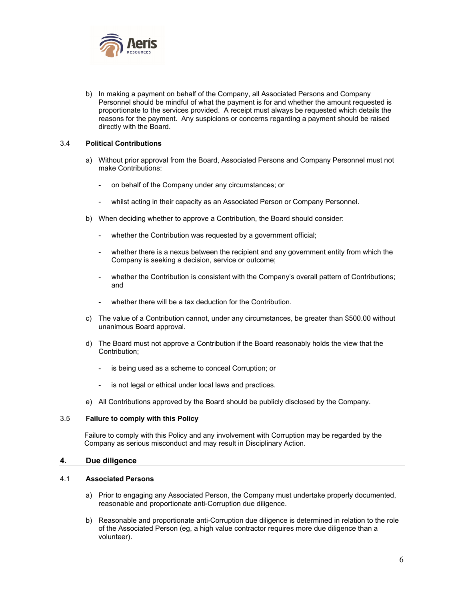

b) In making a payment on behalf of the Company, all Associated Persons and Company Personnel should be mindful of what the payment is for and whether the amount requested is proportionate to the services provided. A receipt must always be requested which details the reasons for the payment. Any suspicions or concerns regarding a payment should be raised directly with the Board.

#### 3.4 **Political Contributions**

- a) Without prior approval from the Board, Associated Persons and Company Personnel must not make Contributions:
	- on behalf of the Company under any circumstances; or
	- whilst acting in their capacity as an Associated Person or Company Personnel.
- b) When deciding whether to approve a Contribution, the Board should consider:
	- whether the Contribution was requested by a government official;
	- whether there is a nexus between the recipient and any government entity from which the Company is seeking a decision, service or outcome;
	- whether the Contribution is consistent with the Company's overall pattern of Contributions; and
	- whether there will be a tax deduction for the Contribution.
- c) The value of a Contribution cannot, under any circumstances, be greater than \$500.00 without unanimous Board approval.
- d) The Board must not approve a Contribution if the Board reasonably holds the view that the Contribution;
	- is being used as a scheme to conceal Corruption; or
	- is not legal or ethical under local laws and practices.
- e) All Contributions approved by the Board should be publicly disclosed by the Company.

#### 3.5 **Failure to comply with this Policy**

Failure to comply with this Policy and any involvement with Corruption may be regarded by the Company as serious misconduct and may result in Disciplinary Action.

#### **4. Due diligence**

#### 4.1 **Associated Persons**

- a) Prior to engaging any Associated Person, the Company must undertake properly documented, reasonable and proportionate anti-Corruption due diligence.
- b) Reasonable and proportionate anti-Corruption due diligence is determined in relation to the role of the Associated Person (eg, a high value contractor requires more due diligence than a volunteer).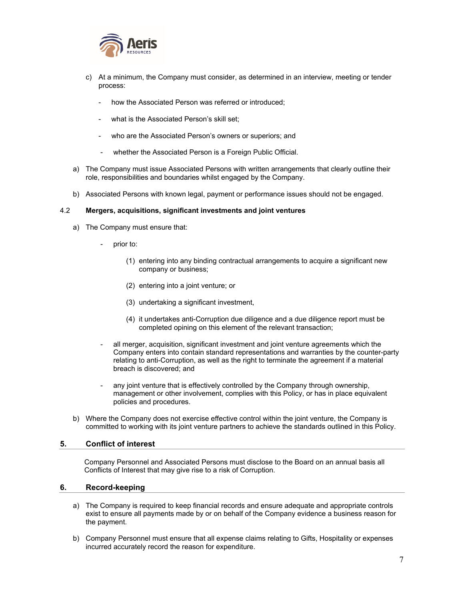

- c) At a minimum, the Company must consider, as determined in an interview, meeting or tender process:
	- how the Associated Person was referred or introduced;
	- what is the Associated Person's skill set:
	- who are the Associated Person's owners or superiors; and
	- whether the Associated Person is a Foreign Public Official.
- a) The Company must issue Associated Persons with written arrangements that clearly outline their role, responsibilities and boundaries whilst engaged by the Company.
- b) Associated Persons with known legal, payment or performance issues should not be engaged.

#### 4.2 **Mergers, acquisitions, significant investments and joint ventures**

- a) The Company must ensure that:
	- prior to:
		- (1) entering into any binding contractual arrangements to acquire a significant new company or business;
		- (2) entering into a joint venture; or
		- (3) undertaking a significant investment,
		- (4) it undertakes anti-Corruption due diligence and a due diligence report must be completed opining on this element of the relevant transaction;
	- all merger, acquisition, significant investment and joint venture agreements which the Company enters into contain standard representations and warranties by the counter-party relating to anti-Corruption, as well as the right to terminate the agreement if a material breach is discovered; and
	- any joint venture that is effectively controlled by the Company through ownership. management or other involvement, complies with this Policy, or has in place equivalent policies and procedures.
- b) Where the Company does not exercise effective control within the joint venture, the Company is committed to working with its joint venture partners to achieve the standards outlined in this Policy.

#### **5. Conflict of interest**

Company Personnel and Associated Persons must disclose to the Board on an annual basis all Conflicts of Interest that may give rise to a risk of Corruption.

#### **6. Record-keeping**

- a) The Company is required to keep financial records and ensure adequate and appropriate controls exist to ensure all payments made by or on behalf of the Company evidence a business reason for the payment.
- b) Company Personnel must ensure that all expense claims relating to Gifts, Hospitality or expenses incurred accurately record the reason for expenditure.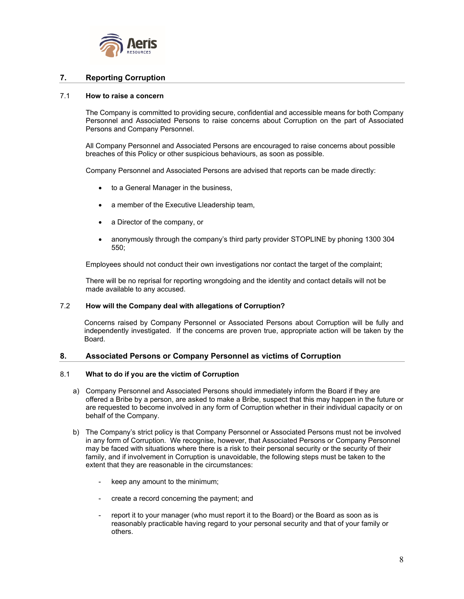

#### **7. Reporting Corruption**

#### 7.1 **How to raise a concern**

The Company is committed to providing secure, confidential and accessible means for both Company Personnel and Associated Persons to raise concerns about Corruption on the part of Associated Persons and Company Personnel.

All Company Personnel and Associated Persons are encouraged to raise concerns about possible breaches of this Policy or other suspicious behaviours, as soon as possible.

Company Personnel and Associated Persons are advised that reports can be made directly:

- to a General Manager in the business,
- a member of the Executive Lleadership team,
- a Director of the company, or
- anonymously through the company's third party provider STOPLINE by phoning 1300 304 550;

Employees should not conduct their own investigations nor contact the target of the complaint;

There will be no reprisal for reporting wrongdoing and the identity and contact details will not be made available to any accused.

#### 7.2 **How will the Company deal with allegations of Corruption?**

Concerns raised by Company Personnel or Associated Persons about Corruption will be fully and independently investigated. If the concerns are proven true, appropriate action will be taken by the Board.

#### **8. Associated Persons or Company Personnel as victims of Corruption**

#### 8.1 **What to do if you are the victim of Corruption**

- a) Company Personnel and Associated Persons should immediately inform the Board if they are offered a Bribe by a person, are asked to make a Bribe, suspect that this may happen in the future or are requested to become involved in any form of Corruption whether in their individual capacity or on behalf of the Company.
- b) The Company's strict policy is that Company Personnel or Associated Persons must not be involved in any form of Corruption. We recognise, however, that Associated Persons or Company Personnel may be faced with situations where there is a risk to their personal security or the security of their family, and if involvement in Corruption is unavoidable, the following steps must be taken to the extent that they are reasonable in the circumstances:
	- keep any amount to the minimum;
	- create a record concerning the payment; and
	- report it to your manager (who must report it to the Board) or the Board as soon as is reasonably practicable having regard to your personal security and that of your family or others.